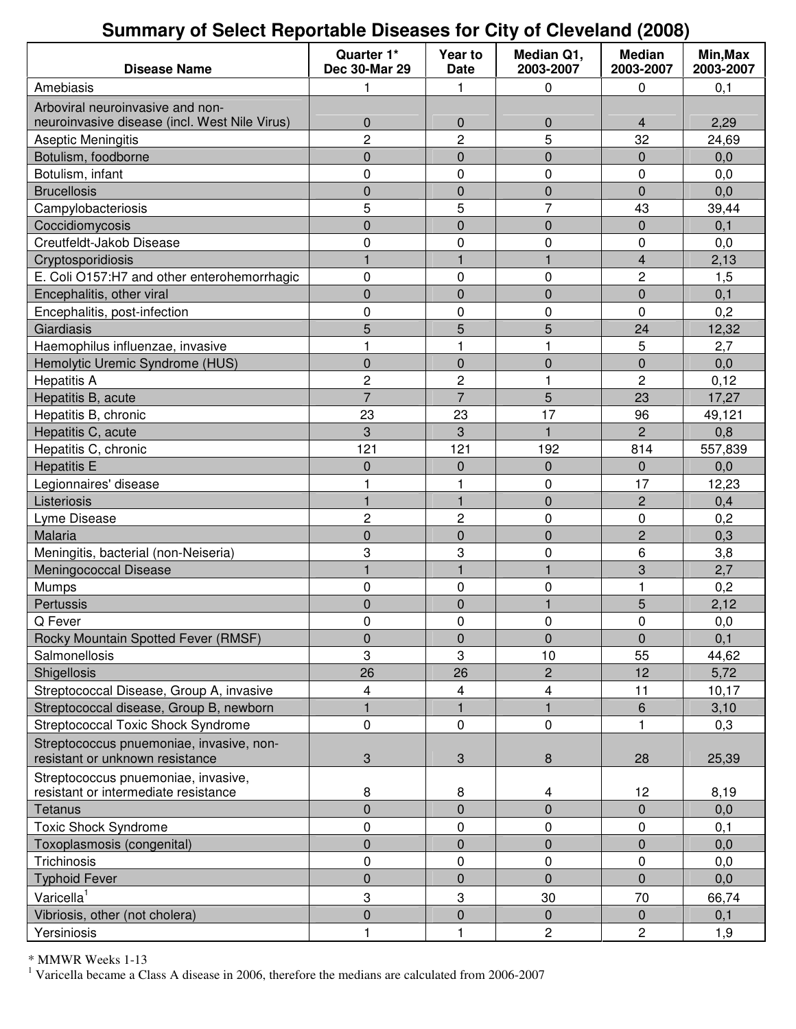# **Summary of Select Reportable Diseases for City of Cleveland (2008)**

| <b>Disease Name</b>                                                         | Quarter 1*<br><b>Dec 30-Mar 29</b> | Year to<br><b>Date</b> | Median Q1,<br>2003-2007 | <b>Median</b><br>2003-2007 | Min, Max<br>2003-2007 |
|-----------------------------------------------------------------------------|------------------------------------|------------------------|-------------------------|----------------------------|-----------------------|
| Amebiasis                                                                   | 1                                  | 1                      | 0                       | 0                          | 0,1                   |
| Arboviral neuroinvasive and non-                                            |                                    |                        |                         |                            |                       |
| neuroinvasive disease (incl. West Nile Virus)                               | $\boldsymbol{0}$                   | 0                      | 0                       | 4                          | 2,29                  |
| Aseptic Meningitis                                                          | $\overline{2}$                     | $\overline{c}$         | 5                       | 32                         | 24,69                 |
| Botulism, foodborne                                                         | $\boldsymbol{0}$                   | $\mathbf{0}$           | $\mathbf 0$             | 0                          | 0,0                   |
| Botulism, infant                                                            | $\mathbf 0$                        | 0                      | 0                       | 0                          | 0,0                   |
| <b>Brucellosis</b>                                                          | $\mathbf 0$                        | $\mathbf 0$            | $\mathbf 0$             | $\mathbf 0$                | 0,0                   |
| Campylobacteriosis                                                          | 5                                  | 5                      | $\overline{7}$          | 43                         | 39,44                 |
| Coccidiomycosis                                                             | $\boldsymbol{0}$                   | $\mathbf 0$            | $\boldsymbol{0}$        | $\pmb{0}$                  | 0,1                   |
| Creutfeldt-Jakob Disease                                                    | 0                                  | $\mathbf 0$            | 0                       | 0                          | 0,0                   |
| Cryptosporidiosis                                                           | $\mathbf{1}$                       | 1                      | $\overline{1}$          | 4                          | 2,13                  |
| E. Coli O157:H7 and other enterohemorrhagic                                 | $\pmb{0}$                          | 0                      | 0                       | $\overline{c}$             | 1,5                   |
| Encephalitis, other viral                                                   | $\mathbf 0$                        | $\mathbf 0$            | $\mathbf 0$             | $\pmb{0}$                  | 0,1                   |
| Encephalitis, post-infection                                                | 0                                  | $\mathbf 0$            | 0                       | 0                          | 0,2                   |
| Giardiasis                                                                  | 5                                  | 5                      | 5                       | 24                         | 12,32                 |
| Haemophilus influenzae, invasive                                            | 1                                  | 1                      | 1                       | 5                          | 2,7                   |
| Hemolytic Uremic Syndrome (HUS)                                             | $\mathbf 0$                        | $\mathbf{0}$           | $\mathbf 0$             | 0                          | 0,0                   |
| <b>Hepatitis A</b>                                                          | $\overline{c}$                     | $\overline{c}$         | 1                       | $\overline{c}$             | 0,12                  |
| Hepatitis B, acute                                                          | $\overline{7}$                     | $\overline{7}$         | 5                       | 23                         | 17,27                 |
| Hepatitis B, chronic                                                        | 23                                 | 23                     | 17                      | 96                         | 49,121                |
| Hepatitis C, acute                                                          | 3                                  | 3                      | $\overline{1}$          | $\overline{2}$             | 0,8                   |
| Hepatitis C, chronic                                                        | 121                                | 121                    | 192                     | 814                        | 557,839               |
| <b>Hepatitis E</b>                                                          | $\mathbf 0$                        | $\mathbf 0$            | $\mathbf 0$             | 0                          | 0,0                   |
| Legionnaires' disease                                                       | 1                                  | 1                      | 0                       | 17                         | 12,23                 |
| Listeriosis                                                                 | $\mathbf{1}$                       | $\mathbf{1}$           | $\mathbf 0$             | $\overline{c}$             | 0,4                   |
| Lyme Disease                                                                | 2                                  | $\overline{c}$         | 0                       | 0                          | 0,2                   |
| Malaria                                                                     | $\mathbf 0$                        | $\mathbf 0$            | $\mathbf 0$             | $\overline{c}$             | 0,3                   |
| Meningitis, bacterial (non-Neiseria)                                        | 3                                  | 3                      | 0                       | 6                          | 3,8                   |
| Meningococcal Disease                                                       | 1                                  | 1                      | 1                       | 3                          | 2,7                   |
| Mumps                                                                       | 0                                  | 0                      | 0                       | 1                          | 0,2                   |
| Pertussis                                                                   | $\mathbf 0$                        | $\mathbf 0$            |                         | 5                          | 2,12                  |
| Q Fever                                                                     | $\Omega$                           | $\Omega$               | $\Omega$                | 0                          | 0,0                   |
| Rocky Mountain Spotted Fever (RMSF)                                         | $\pmb{0}$                          | $\mathbf 0$            | $\pmb{0}$               | $\pmb{0}$                  | 0,1                   |
| Salmonellosis                                                               | 3                                  | 3                      | 10                      | 55                         | 44,62                 |
| Shigellosis                                                                 | 26                                 | 26                     | $\overline{2}$          | 12                         | 5,72                  |
| Streptococcal Disease, Group A, invasive                                    | 4                                  | 4                      | 4                       | 11                         | 10,17                 |
| Streptococcal disease, Group B, newborn                                     | $\mathbf{1}$                       | 1                      | 1                       | $\,6\,$                    | 3,10                  |
| <b>Streptococcal Toxic Shock Syndrome</b>                                   | $\mathbf 0$                        | $\mathbf 0$            | 0                       | $\mathbf{1}$               | 0,3                   |
| Streptococcus pnuemoniae, invasive, non-<br>resistant or unknown resistance | 3                                  | 3                      | 8                       | 28                         | 25,39                 |
| Streptococcus pnuemoniae, invasive,                                         |                                    |                        |                         |                            |                       |
| resistant or intermediate resistance                                        | 8                                  | 8                      | 4                       | 12                         | 8,19                  |
| Tetanus                                                                     | $\mathbf 0$                        | $\mathbf 0$            | $\mathbf 0$             | $\mathbf 0$                | 0,0                   |
| <b>Toxic Shock Syndrome</b>                                                 | $\pmb{0}$                          | $\pmb{0}$              | 0                       | 0                          | 0,1                   |
| Toxoplasmosis (congenital)                                                  | $\mathbf 0$                        | $\mathbf 0$            | $\mathbf 0$             | $\pmb{0}$                  | 0,0                   |
| Trichinosis                                                                 | $\pmb{0}$                          | $\pmb{0}$              | 0                       | 0                          | 0,0                   |
| <b>Typhoid Fever</b>                                                        | $\pmb{0}$                          | $\pmb{0}$              | $\mathbf 0$             | $\mathbf 0$                | 0,0                   |
| Varicella <sup>1</sup>                                                      | 3                                  | 3                      | 30                      | 70                         | 66,74                 |
| Vibriosis, other (not cholera)                                              | $\overline{0}$                     | $\overline{0}$         | $\overline{0}$          | $\mathbf 0$                | 0,1                   |
| Yersiniosis                                                                 | 1                                  | 1                      | 2                       | 2                          | 1,9                   |

\* MMWR Weeks 1-13

<sup>1</sup> Varicella became a Class A disease in 2006, therefore the medians are calculated from 2006-2007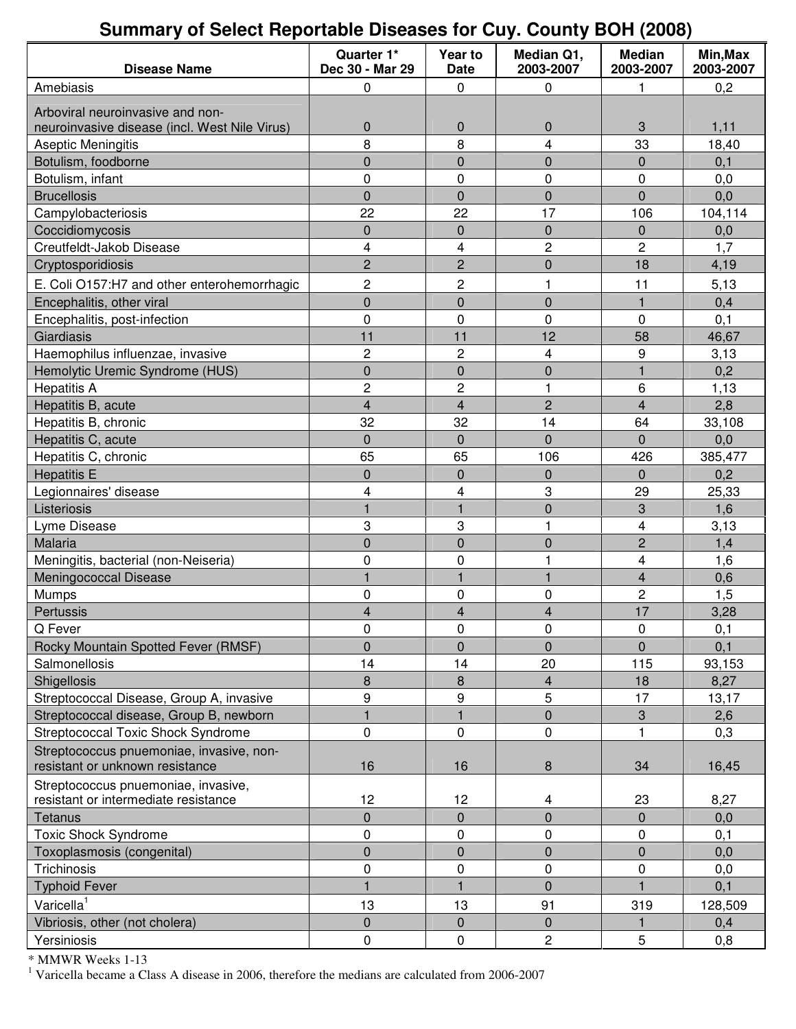# **Summary of Select Reportable Diseases for Cuy. County BOH (2008)**

| <b>Disease Name</b>                                                         | Quarter 1*<br>Dec 30 - Mar 29 | Year to<br>Date         | Median Q1,<br>2003-2007 | <b>Median</b><br>2003-2007 | Min, Max<br>2003-2007 |
|-----------------------------------------------------------------------------|-------------------------------|-------------------------|-------------------------|----------------------------|-----------------------|
| Amebiasis                                                                   | 0                             | 0                       | 0                       | 1                          | 0,2                   |
| Arboviral neuroinvasive and non-                                            |                               |                         |                         |                            |                       |
| neuroinvasive disease (incl. West Nile Virus)                               | $\pmb{0}$                     | $\pmb{0}$               | 0                       | 3                          | 1,11                  |
| Aseptic Meningitis                                                          | 8                             | 8                       | $\overline{4}$          | 33                         | 18,40                 |
| Botulism, foodborne                                                         | 0                             | $\mathbf 0$             | 0                       | $\mathbf 0$                | 0,1                   |
| Botulism, infant                                                            | 0                             | $\mathbf 0$             | 0                       | 0                          | 0,0                   |
| <b>Brucellosis</b>                                                          | $\mathbf 0$                   | $\overline{0}$          | $\overline{0}$          | $\overline{0}$             | 0,0                   |
| Campylobacteriosis                                                          | 22                            | 22                      | 17                      | 106                        | 104,114               |
| Coccidiomycosis                                                             | $\pmb{0}$                     | $\mathbf 0$             | $\mathbf 0$             | $\pmb{0}$                  | 0,0                   |
| Creutfeldt-Jakob Disease                                                    | 4                             | 4                       | $\overline{c}$          | $\overline{c}$             | 1,7                   |
| Cryptosporidiosis                                                           | $\overline{c}$                | $\overline{c}$          | $\mathbf 0$             | 18                         | 4,19                  |
| E. Coli O157:H7 and other enterohemorrhagic                                 | 2                             | $\overline{c}$          | 1                       | 11                         | 5,13                  |
| Encephalitis, other viral                                                   | $\mathbf 0$                   | $\mathbf 0$             | $\mathbf 0$             | $\mathbf{1}$               | 0,4                   |
| Encephalitis, post-infection                                                | 0                             | 0                       | 0                       | 0                          | 0,1                   |
| Giardiasis                                                                  | 11                            | 11                      | 12                      | 58                         | 46,67                 |
| Haemophilus influenzae, invasive                                            | $\overline{c}$                | $\overline{c}$          | 4                       | 9                          | 3,13                  |
| Hemolytic Uremic Syndrome (HUS)                                             | $\pmb{0}$                     | $\pmb{0}$               | $\mathbf 0$             | $\mathbf{1}$               | 0,2                   |
| <b>Hepatitis A</b>                                                          | $\mathbf 2$                   | $\overline{c}$          | 1                       | $\,6\,$                    | 1,13                  |
| Hepatitis B, acute                                                          | $\overline{\mathbf{4}}$       | $\overline{4}$          | $\overline{2}$          | $\overline{4}$             | 2,8                   |
| Hepatitis B, chronic                                                        | 32                            | 32                      | 14                      | 64                         | 33,108                |
| Hepatitis C, acute                                                          | $\mathbf 0$                   | $\mathbf 0$             | $\overline{0}$          | $\overline{0}$             | 0,0                   |
| Hepatitis C, chronic                                                        | 65                            | 65                      | 106                     | 426                        | 385,477               |
| <b>Hepatitis E</b>                                                          | $\pmb{0}$                     | $\mathbf 0$             | $\boldsymbol{0}$        | $\mathbf 0$                | 0,2                   |
| Legionnaires' disease                                                       | 4                             | 4                       | 3                       | 29                         | 25,33                 |
| Listeriosis                                                                 | $\mathbf{1}$                  | $\mathbf{1}$            | $\overline{0}$          | 3                          | 1,6                   |
| Lyme Disease                                                                | 3                             | 3                       | 1                       | 4                          | 3,13                  |
| Malaria                                                                     | $\mathbf 0$                   | $\mathbf 0$             | $\mathbf 0$             | $\overline{c}$             | 1,4                   |
| Meningitis, bacterial (non-Neiseria)                                        | 0                             | 0                       | 1                       | $\overline{\mathbf{4}}$    | 1,6                   |
| Meningococcal Disease                                                       | $\mathbf{1}$                  | $\overline{1}$          | $\mathbf{1}$            | $\overline{\mathbf{4}}$    | 0,6                   |
| Mumps                                                                       | $\pmb{0}$                     | $\pmb{0}$               | 0                       | $\overline{c}$             | 1,5                   |
| Pertussis                                                                   | 4                             | $\overline{\mathbf{4}}$ | $\overline{4}$          | 17                         | 3,28                  |
| Q Fever                                                                     | 0                             | 0                       | 0                       | 0                          | 0,1                   |
| Rocky Mountain Spotted Fever (RMSF)                                         | $\mathbf 0$                   | $\mathbf 0$             | $\overline{0}$          | $\overline{0}$             | 0,1                   |
| Salmonellosis                                                               | 14                            | 14                      | 20                      | 115                        | 93,153                |
| Shigellosis                                                                 | 8                             | 8                       | 4                       | 18                         | 8,27                  |
| Streptococcal Disease, Group A, invasive                                    | 9                             | 9                       | 5                       | 17                         | 13,17                 |
| Streptococcal disease, Group B, newborn                                     | $\overline{1}$                |                         | $\mathbf 0$             | 3                          | 2,6                   |
| <b>Streptococcal Toxic Shock Syndrome</b>                                   | 0                             | $\pmb{0}$               | 0                       | $\mathbf{1}$               | 0,3                   |
| Streptococcus pnuemoniae, invasive, non-<br>resistant or unknown resistance | 16                            | 16                      | 8                       | 34                         | 16,45                 |
|                                                                             |                               |                         |                         |                            |                       |
| Streptococcus pnuemoniae, invasive,<br>resistant or intermediate resistance | 12                            | 12                      | 4                       | 23                         | 8,27                  |
| Tetanus                                                                     | $\pmb{0}$                     | $\pmb{0}$               | $\mathbf 0$             | 0                          | 0,0                   |
| <b>Toxic Shock Syndrome</b>                                                 | 0                             | $\pmb{0}$               | 0                       | 0                          | 0,1                   |
| Toxoplasmosis (congenital)                                                  | $\overline{0}$                | $\mathbf 0$             | $\overline{0}$          | $\mathbf 0$                | 0,0                   |
| Trichinosis                                                                 | 0                             | 0                       | 0                       | 0                          | 0,0                   |
| <b>Typhoid Fever</b>                                                        | $\mathbf{1}$                  |                         | $\mathbf 0$             |                            | 0,1                   |
| Varicella <sup>1</sup>                                                      | 13                            | 13                      | 91                      | 319                        | 128,509               |
| Vibriosis, other (not cholera)                                              | $\pmb{0}$                     | $\mathbf 0$             | $\mathbf 0$             |                            | 0,4                   |
| Yersiniosis                                                                 |                               | $\pmb{0}$               |                         | 5                          |                       |
|                                                                             | 0                             |                         | 2                       |                            | 0,8                   |

\* MMWR Weeks 1-13

<sup>1</sup> Varicella became a Class A disease in 2006, therefore the medians are calculated from 2006-2007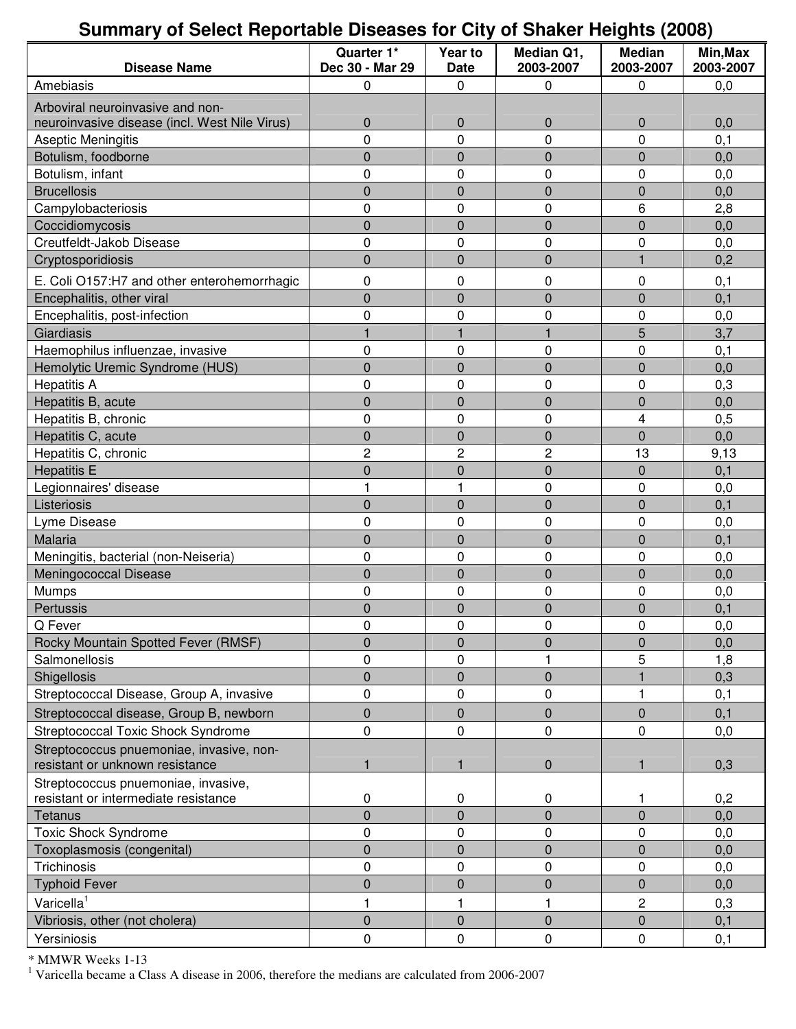### **Summary of Select Reportable Diseases for City of Shaker Heights (2008)**

| <b>Disease Name</b>                                                         | Quarter 1*<br>Dec 30 - Mar 29 | Year to<br><b>Date</b> | Median Q1,<br>2003-2007 | <b>Median</b><br>2003-2007 | Min, Max<br>2003-2007 |
|-----------------------------------------------------------------------------|-------------------------------|------------------------|-------------------------|----------------------------|-----------------------|
| Amebiasis                                                                   | 0                             | 0                      | 0                       | 0                          | 0,0                   |
| Arboviral neuroinvasive and non-                                            |                               |                        |                         |                            |                       |
| neuroinvasive disease (incl. West Nile Virus)                               | $\boldsymbol{0}$              | $\mathbf 0$            | 0                       | 0                          | 0,0                   |
| Aseptic Meningitis                                                          | 0                             | 0                      | 0                       | 0                          | 0,1                   |
| Botulism, foodborne                                                         | $\boldsymbol{0}$              | $\mathbf 0$            | 0                       | 0                          | 0,0                   |
| Botulism, infant                                                            | 0                             | 0                      | 0                       | 0                          | 0,0                   |
| <b>Brucellosis</b>                                                          | $\mathbf 0$                   | $\mathbf 0$            | $\overline{0}$          | $\overline{0}$             | 0,0                   |
| Campylobacteriosis                                                          | 0                             | 0                      | 0                       | 6                          | 2,8                   |
| Coccidiomycosis                                                             | $\mathbf 0$                   | $\mathbf 0$            | $\overline{0}$          | $\overline{0}$             | 0,0                   |
| Creutfeldt-Jakob Disease                                                    | 0                             | 0                      | 0                       | 0                          | 0,0                   |
| Cryptosporidiosis                                                           | $\overline{0}$                | $\overline{0}$         | $\overline{0}$          | $\mathbf{1}$               | 0,2                   |
|                                                                             |                               |                        |                         |                            |                       |
| E. Coli O157:H7 and other enterohemorrhagic                                 | $\pmb{0}$                     | 0                      | 0                       | 0                          | 0,1                   |
| Encephalitis, other viral                                                   | $\overline{0}$                | $\mathbf 0$            | $\overline{0}$          | $\overline{0}$             | 0,1                   |
| Encephalitis, post-infection                                                | 0                             | 0                      | 0                       | 0                          | 0,0                   |
| Giardiasis                                                                  | 1                             | 1                      |                         | 5                          | 3,7                   |
| Haemophilus influenzae, invasive                                            | 0                             | 0                      | 0                       | 0                          | 0,1                   |
| Hemolytic Uremic Syndrome (HUS)                                             | $\boldsymbol{0}$              | $\mathbf 0$            | 0                       | 0                          | 0,0                   |
| <b>Hepatitis A</b>                                                          | 0                             | 0                      | 0                       | 0                          | 0,3                   |
| Hepatitis B, acute                                                          | $\mathbf 0$                   | $\mathbf 0$            | $\overline{0}$          | $\mathbf 0$                | 0,0                   |
| Hepatitis B, chronic                                                        | 0                             | 0                      | 0                       | 4                          | 0,5                   |
| Hepatitis C, acute                                                          | $\pmb{0}$                     | $\pmb{0}$              | 0                       | 0                          | 0,0                   |
| Hepatitis C, chronic                                                        | $\overline{c}$                | $\overline{c}$         | 2                       | 13                         | 9,13                  |
| <b>Hepatitis E</b>                                                          | $\overline{0}$                | $\overline{0}$         | $\overline{0}$          | $\overline{0}$             | 0,1                   |
| Legionnaires' disease                                                       | $\mathbf{1}$                  | 1                      | 0                       | 0                          | 0,0                   |
| Listeriosis                                                                 | $\mathbf 0$                   | $\mathbf 0$            | $\overline{0}$          | $\overline{0}$             | 0,1                   |
| Lyme Disease                                                                | 0                             | 0                      | 0                       | 0                          | 0,0                   |
| Malaria                                                                     | 0                             | $\mathbf 0$            | 0                       | 0                          | 0,1                   |
| Meningitis, bacterial (non-Neiseria)                                        | 0                             | 0                      | 0                       | 0                          | 0,0                   |
| Meningococcal Disease                                                       | $\mathbf 0$                   | $\mathbf 0$            | $\overline{0}$          | $\mathbf 0$                | 0,0                   |
| Mumps                                                                       | 0                             | 0                      | 0                       | 0                          | 0,0                   |
| Pertussis                                                                   | $\mathbf 0$                   | $\mathbf 0$            | $\overline{0}$          | $\overline{0}$             | 0,1                   |
| Q Fever                                                                     | 0                             | 0                      | 0                       | 0                          | 0,0                   |
| Rocky Mountain Spotted Fever (RMSF)                                         | $\mathbf 0$                   | $\mathbf 0$            | $\overline{0}$          | $\overline{0}$             | 0,0                   |
| Salmonellosis                                                               | $\mathsf 0$                   | 0                      |                         | 5                          | 1,8                   |
| Shigellosis                                                                 | $\mathbf 0$                   | $\mathbf 0$            | 0                       |                            | 0,3                   |
| Streptococcal Disease, Group A, invasive                                    | 0                             | 0                      | 0                       | 1                          | 0,1                   |
| Streptococcal disease, Group B, newborn                                     | $\mathbf 0$                   | $\pmb{0}$              | $\overline{0}$          | $\pmb{0}$                  | 0,1                   |
| Streptococcal Toxic Shock Syndrome                                          | 0                             | $\mathbf 0$            | 0                       | 0                          | 0,0                   |
| Streptococcus pnuemoniae, invasive, non-<br>resistant or unknown resistance | 1                             | 1                      | 0                       | 1                          | 0,3                   |
| Streptococcus pnuemoniae, invasive,                                         |                               |                        |                         |                            |                       |
| resistant or intermediate resistance                                        | 0                             | 0                      | 0                       |                            | 0,2                   |
| <b>Tetanus</b>                                                              | $\mathbf 0$                   | $\pmb{0}$              | $\overline{0}$          | $\mathbf 0$                | 0,0                   |
| <b>Toxic Shock Syndrome</b>                                                 | 0                             | 0                      | 0                       | 0                          | 0,0                   |
| Toxoplasmosis (congenital)                                                  | $\mathbf 0$                   | $\mathbf 0$            | $\overline{0}$          | $\overline{0}$             | 0,0                   |
| Trichinosis                                                                 | 0                             | 0                      | 0                       | 0                          | 0,0                   |
| <b>Typhoid Fever</b>                                                        | $\pmb{0}$                     | $\pmb{0}$              | $\mathbf 0$             | 0                          | 0,0                   |
| Varicella <sup>1</sup>                                                      | 1                             | 1                      | 1                       | $\overline{c}$             | 0,3                   |
| Vibriosis, other (not cholera)                                              | $\boldsymbol{0}$              | $\pmb{0}$              | 0                       | 0                          | 0,1                   |
| Yersiniosis                                                                 | $\pmb{0}$                     | $\pmb{0}$              | 0                       | 0                          | 0,1                   |

\* MMWR Weeks 1-13

<sup>1</sup> Varicella became a Class A disease in 2006, therefore the medians are calculated from 2006-2007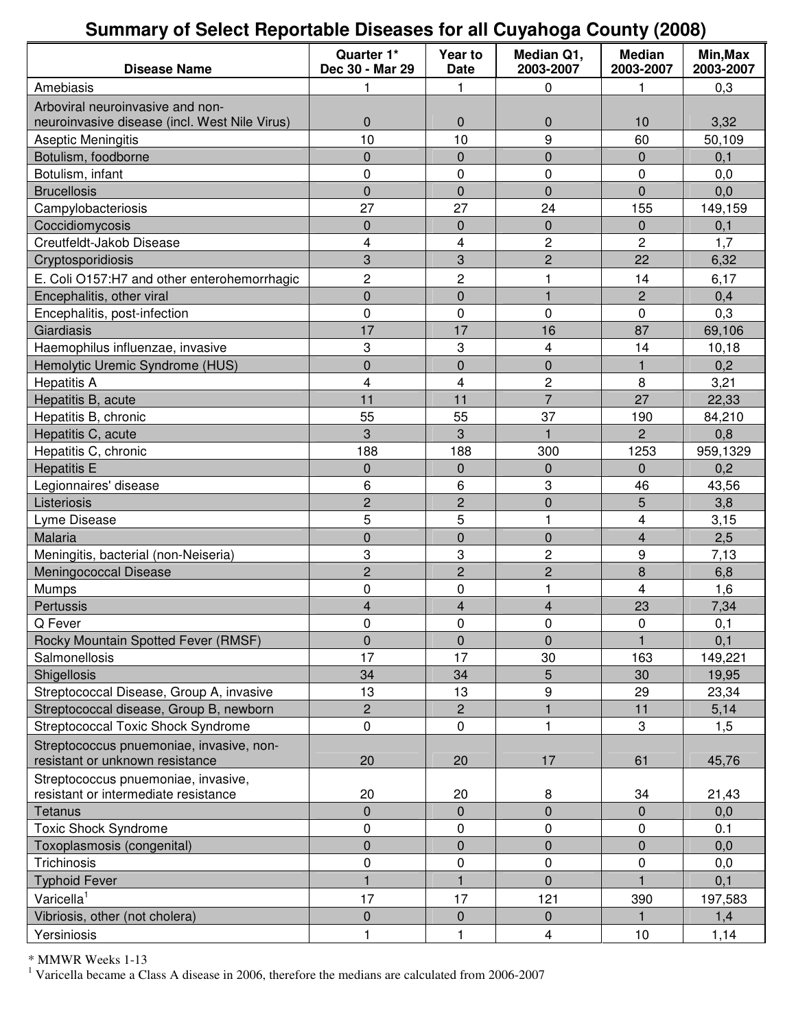# **Summary of Select Reportable Diseases for all Cuyahoga County (2008)**

| Amebiasis<br>0<br>0,3<br>1<br>1<br>Arboviral neuroinvasive and non-<br>$\mathbf 0$<br>neuroinvasive disease (incl. West Nile Virus)<br>$\mathbf 0$<br>0<br>10<br>3,32<br>9<br>10<br>10<br>60<br><b>Aseptic Meningitis</b><br>50,109<br>$\pmb{0}$<br>$\mathbf 0$<br>$\pmb{0}$<br>Botulism, foodborne<br>$\pmb{0}$<br>0,1<br>Botulism, infant<br>0<br>0<br>0<br>0<br>0,0<br>$\overline{0}$<br>$\mathbf 0$<br>$\pmb{0}$<br>$\mathbf 0$<br>0,0<br><b>Brucellosis</b><br>27<br>27<br>24<br>155<br>149,159<br>Campylobacteriosis<br>Coccidiomycosis<br>$\mathbf 0$<br>$\mathbf 0$<br>$\mathbf 0$<br>0<br>0,1<br>Creutfeldt-Jakob Disease<br>2<br>2<br>4<br>4<br>1,7<br>$\overline{2}$<br>3<br>3<br>22<br>6,32<br>Cryptosporidiosis<br>$\overline{c}$<br>$\overline{c}$<br>E. Coli O157:H7 and other enterohemorrhagic<br>1<br>14<br>6,17<br>$\pmb{0}$<br>$\overline{c}$<br>Encephalitis, other viral<br>$\pmb{0}$<br>1<br>0,4<br>$\mathbf 0$<br>0<br>0<br>0<br>0,3<br>Encephalitis, post-infection<br>17<br>17<br>16<br>87<br>Giardiasis<br>69,106<br>3<br>3<br>Haemophilus influenzae, invasive<br>4<br>14<br>10,18<br>$\mathbf 0$<br>$\mathbf 0$<br>$\overline{0}$<br>Hemolytic Uremic Syndrome (HUS)<br>1<br>0,2<br>4<br>4<br>2<br>8<br>3,21<br><b>Hepatitis A</b><br>$\overline{7}$<br>11<br>11<br>27<br>Hepatitis B, acute<br>22,33<br>55<br>Hepatitis B, chronic<br>55<br>37<br>190<br>84,210<br>3<br>3<br>$\overline{2}$<br>Hepatitis C, acute<br>1<br>0,8<br>188<br>188<br>300<br>Hepatitis C, chronic<br>1253<br>959,1329<br>$\pmb{0}$<br>$\mathbf 0$<br>$\mathbf 0$<br><b>Hepatitis E</b><br>$\pmb{0}$<br>0,2<br>6<br>6<br>3<br>46<br>Legionnaires' disease<br>43,56<br>5<br>$\overline{c}$<br>2<br>$\mathbf 0$<br>Listeriosis<br>3,8<br>5<br>5<br>$\overline{\mathbf{4}}$<br>Lyme Disease<br>1<br>3,15<br>$\overline{0}$<br>$\mathbf 0$<br>$\overline{0}$<br>$\overline{\mathbf{4}}$<br>Malaria<br>2,5<br>3<br>3<br>2<br>9<br>Meningitis, bacterial (non-Neiseria)<br>7,13<br>$\overline{c}$<br>$\overline{c}$<br>$\overline{2}$<br>8<br>Meningococcal Disease<br>6,8<br>$\overline{\mathbf{4}}$<br>0<br>0<br>$\mathbf{1}$<br>Mumps<br>1,6<br>4<br>$\overline{\mathbf{4}}$<br>$\overline{\mathbf{4}}$<br>23<br>7,34<br>Pertussis<br>0<br>0<br>0<br>$\Omega$<br>0,1<br>Q Fever<br>$\mathbf{1}$<br>Rocky Mountain Spotted Fever (RMSF)<br>$\Omega$<br>$\mathbf{0}$<br>$\mathbf{0}$<br>0,1<br>17<br>17<br>Salmonellosis<br>30<br>163<br>149,221<br>5<br>34<br>34<br>Shigellosis<br>30<br>19,95<br>13<br>9<br>29<br>Streptococcal Disease, Group A, invasive<br>13<br>23,34<br>$\overline{c}$<br>$\overline{\mathbf{c}}$<br>Streptococcal disease, Group B, newborn<br>$\mathbf{1}$<br>11<br>5,14<br>3<br>Streptococcal Toxic Shock Syndrome<br>0<br>0<br>$\mathbf{1}$<br>1,5<br>Streptococcus pnuemoniae, invasive, non-<br>20<br>resistant or unknown resistance<br>20<br>17<br>61<br>45,76<br>Streptococcus pnuemoniae, invasive,<br>20<br>resistant or intermediate resistance<br>20<br>8<br>34<br>21,43<br>$\mathbf 0$<br>$\mathbf 0$<br>$\mathbf 0$<br>$\pmb{0}$<br>Tetanus<br>0,0<br><b>Toxic Shock Syndrome</b><br>0<br>0<br>0<br>0<br>0.1<br>$\mathbf 0$<br>$\mathbf 0$<br>$\pmb{0}$<br>$\pmb{0}$<br>Toxoplasmosis (congenital)<br>0,0<br>0<br>Trichinosis<br>0<br>0<br>0<br>0,0<br>$\mathbf{1}$<br>$\overline{0}$<br>1<br>1<br>0,1<br><b>Typhoid Fever</b><br>Varicella <sup>1</sup><br>17<br>17<br>121<br>390<br>197,583<br>$\mathbf 0$<br>$\pmb{0}$<br>$\pmb{0}$<br>Vibriosis, other (not cholera)<br>$\mathbf{1}$<br>1,4<br>Yersiniosis<br>1<br>1<br>10<br>1,14<br>4 | <b>Disease Name</b> | Quarter 1*<br>Dec 30 - Mar 29 | Year to<br><b>Date</b> | Median Q1,<br>2003-2007 | <b>Median</b><br>2003-2007 | Min, Max<br>2003-2007 |
|------------------------------------------------------------------------------------------------------------------------------------------------------------------------------------------------------------------------------------------------------------------------------------------------------------------------------------------------------------------------------------------------------------------------------------------------------------------------------------------------------------------------------------------------------------------------------------------------------------------------------------------------------------------------------------------------------------------------------------------------------------------------------------------------------------------------------------------------------------------------------------------------------------------------------------------------------------------------------------------------------------------------------------------------------------------------------------------------------------------------------------------------------------------------------------------------------------------------------------------------------------------------------------------------------------------------------------------------------------------------------------------------------------------------------------------------------------------------------------------------------------------------------------------------------------------------------------------------------------------------------------------------------------------------------------------------------------------------------------------------------------------------------------------------------------------------------------------------------------------------------------------------------------------------------------------------------------------------------------------------------------------------------------------------------------------------------------------------------------------------------------------------------------------------------------------------------------------------------------------------------------------------------------------------------------------------------------------------------------------------------------------------------------------------------------------------------------------------------------------------------------------------------------------------------------------------------------------------------------------------------------------------------------------------------------------------------------------------------------------------------------------------------------------------------------------------------------------------------------------------------------------------------------------------------------------------------------------------------------------------------------------------------------------------------------------------------------------------------------------------------------------------------------------------------------------------------------------------------------------------------------------------------------------------------------------------------------------------------------------------------------------------------------------------------------------------------------------------------------------------------------------------------------------------------------------------------------|---------------------|-------------------------------|------------------------|-------------------------|----------------------------|-----------------------|
|                                                                                                                                                                                                                                                                                                                                                                                                                                                                                                                                                                                                                                                                                                                                                                                                                                                                                                                                                                                                                                                                                                                                                                                                                                                                                                                                                                                                                                                                                                                                                                                                                                                                                                                                                                                                                                                                                                                                                                                                                                                                                                                                                                                                                                                                                                                                                                                                                                                                                                                                                                                                                                                                                                                                                                                                                                                                                                                                                                                                                                                                                                                                                                                                                                                                                                                                                                                                                                                                                                                                                                                    |                     |                               |                        |                         |                            |                       |
|                                                                                                                                                                                                                                                                                                                                                                                                                                                                                                                                                                                                                                                                                                                                                                                                                                                                                                                                                                                                                                                                                                                                                                                                                                                                                                                                                                                                                                                                                                                                                                                                                                                                                                                                                                                                                                                                                                                                                                                                                                                                                                                                                                                                                                                                                                                                                                                                                                                                                                                                                                                                                                                                                                                                                                                                                                                                                                                                                                                                                                                                                                                                                                                                                                                                                                                                                                                                                                                                                                                                                                                    |                     |                               |                        |                         |                            |                       |
|                                                                                                                                                                                                                                                                                                                                                                                                                                                                                                                                                                                                                                                                                                                                                                                                                                                                                                                                                                                                                                                                                                                                                                                                                                                                                                                                                                                                                                                                                                                                                                                                                                                                                                                                                                                                                                                                                                                                                                                                                                                                                                                                                                                                                                                                                                                                                                                                                                                                                                                                                                                                                                                                                                                                                                                                                                                                                                                                                                                                                                                                                                                                                                                                                                                                                                                                                                                                                                                                                                                                                                                    |                     |                               |                        |                         |                            |                       |
|                                                                                                                                                                                                                                                                                                                                                                                                                                                                                                                                                                                                                                                                                                                                                                                                                                                                                                                                                                                                                                                                                                                                                                                                                                                                                                                                                                                                                                                                                                                                                                                                                                                                                                                                                                                                                                                                                                                                                                                                                                                                                                                                                                                                                                                                                                                                                                                                                                                                                                                                                                                                                                                                                                                                                                                                                                                                                                                                                                                                                                                                                                                                                                                                                                                                                                                                                                                                                                                                                                                                                                                    |                     |                               |                        |                         |                            |                       |
|                                                                                                                                                                                                                                                                                                                                                                                                                                                                                                                                                                                                                                                                                                                                                                                                                                                                                                                                                                                                                                                                                                                                                                                                                                                                                                                                                                                                                                                                                                                                                                                                                                                                                                                                                                                                                                                                                                                                                                                                                                                                                                                                                                                                                                                                                                                                                                                                                                                                                                                                                                                                                                                                                                                                                                                                                                                                                                                                                                                                                                                                                                                                                                                                                                                                                                                                                                                                                                                                                                                                                                                    |                     |                               |                        |                         |                            |                       |
|                                                                                                                                                                                                                                                                                                                                                                                                                                                                                                                                                                                                                                                                                                                                                                                                                                                                                                                                                                                                                                                                                                                                                                                                                                                                                                                                                                                                                                                                                                                                                                                                                                                                                                                                                                                                                                                                                                                                                                                                                                                                                                                                                                                                                                                                                                                                                                                                                                                                                                                                                                                                                                                                                                                                                                                                                                                                                                                                                                                                                                                                                                                                                                                                                                                                                                                                                                                                                                                                                                                                                                                    |                     |                               |                        |                         |                            |                       |
|                                                                                                                                                                                                                                                                                                                                                                                                                                                                                                                                                                                                                                                                                                                                                                                                                                                                                                                                                                                                                                                                                                                                                                                                                                                                                                                                                                                                                                                                                                                                                                                                                                                                                                                                                                                                                                                                                                                                                                                                                                                                                                                                                                                                                                                                                                                                                                                                                                                                                                                                                                                                                                                                                                                                                                                                                                                                                                                                                                                                                                                                                                                                                                                                                                                                                                                                                                                                                                                                                                                                                                                    |                     |                               |                        |                         |                            |                       |
|                                                                                                                                                                                                                                                                                                                                                                                                                                                                                                                                                                                                                                                                                                                                                                                                                                                                                                                                                                                                                                                                                                                                                                                                                                                                                                                                                                                                                                                                                                                                                                                                                                                                                                                                                                                                                                                                                                                                                                                                                                                                                                                                                                                                                                                                                                                                                                                                                                                                                                                                                                                                                                                                                                                                                                                                                                                                                                                                                                                                                                                                                                                                                                                                                                                                                                                                                                                                                                                                                                                                                                                    |                     |                               |                        |                         |                            |                       |
|                                                                                                                                                                                                                                                                                                                                                                                                                                                                                                                                                                                                                                                                                                                                                                                                                                                                                                                                                                                                                                                                                                                                                                                                                                                                                                                                                                                                                                                                                                                                                                                                                                                                                                                                                                                                                                                                                                                                                                                                                                                                                                                                                                                                                                                                                                                                                                                                                                                                                                                                                                                                                                                                                                                                                                                                                                                                                                                                                                                                                                                                                                                                                                                                                                                                                                                                                                                                                                                                                                                                                                                    |                     |                               |                        |                         |                            |                       |
|                                                                                                                                                                                                                                                                                                                                                                                                                                                                                                                                                                                                                                                                                                                                                                                                                                                                                                                                                                                                                                                                                                                                                                                                                                                                                                                                                                                                                                                                                                                                                                                                                                                                                                                                                                                                                                                                                                                                                                                                                                                                                                                                                                                                                                                                                                                                                                                                                                                                                                                                                                                                                                                                                                                                                                                                                                                                                                                                                                                                                                                                                                                                                                                                                                                                                                                                                                                                                                                                                                                                                                                    |                     |                               |                        |                         |                            |                       |
|                                                                                                                                                                                                                                                                                                                                                                                                                                                                                                                                                                                                                                                                                                                                                                                                                                                                                                                                                                                                                                                                                                                                                                                                                                                                                                                                                                                                                                                                                                                                                                                                                                                                                                                                                                                                                                                                                                                                                                                                                                                                                                                                                                                                                                                                                                                                                                                                                                                                                                                                                                                                                                                                                                                                                                                                                                                                                                                                                                                                                                                                                                                                                                                                                                                                                                                                                                                                                                                                                                                                                                                    |                     |                               |                        |                         |                            |                       |
|                                                                                                                                                                                                                                                                                                                                                                                                                                                                                                                                                                                                                                                                                                                                                                                                                                                                                                                                                                                                                                                                                                                                                                                                                                                                                                                                                                                                                                                                                                                                                                                                                                                                                                                                                                                                                                                                                                                                                                                                                                                                                                                                                                                                                                                                                                                                                                                                                                                                                                                                                                                                                                                                                                                                                                                                                                                                                                                                                                                                                                                                                                                                                                                                                                                                                                                                                                                                                                                                                                                                                                                    |                     |                               |                        |                         |                            |                       |
|                                                                                                                                                                                                                                                                                                                                                                                                                                                                                                                                                                                                                                                                                                                                                                                                                                                                                                                                                                                                                                                                                                                                                                                                                                                                                                                                                                                                                                                                                                                                                                                                                                                                                                                                                                                                                                                                                                                                                                                                                                                                                                                                                                                                                                                                                                                                                                                                                                                                                                                                                                                                                                                                                                                                                                                                                                                                                                                                                                                                                                                                                                                                                                                                                                                                                                                                                                                                                                                                                                                                                                                    |                     |                               |                        |                         |                            |                       |
|                                                                                                                                                                                                                                                                                                                                                                                                                                                                                                                                                                                                                                                                                                                                                                                                                                                                                                                                                                                                                                                                                                                                                                                                                                                                                                                                                                                                                                                                                                                                                                                                                                                                                                                                                                                                                                                                                                                                                                                                                                                                                                                                                                                                                                                                                                                                                                                                                                                                                                                                                                                                                                                                                                                                                                                                                                                                                                                                                                                                                                                                                                                                                                                                                                                                                                                                                                                                                                                                                                                                                                                    |                     |                               |                        |                         |                            |                       |
|                                                                                                                                                                                                                                                                                                                                                                                                                                                                                                                                                                                                                                                                                                                                                                                                                                                                                                                                                                                                                                                                                                                                                                                                                                                                                                                                                                                                                                                                                                                                                                                                                                                                                                                                                                                                                                                                                                                                                                                                                                                                                                                                                                                                                                                                                                                                                                                                                                                                                                                                                                                                                                                                                                                                                                                                                                                                                                                                                                                                                                                                                                                                                                                                                                                                                                                                                                                                                                                                                                                                                                                    |                     |                               |                        |                         |                            |                       |
|                                                                                                                                                                                                                                                                                                                                                                                                                                                                                                                                                                                                                                                                                                                                                                                                                                                                                                                                                                                                                                                                                                                                                                                                                                                                                                                                                                                                                                                                                                                                                                                                                                                                                                                                                                                                                                                                                                                                                                                                                                                                                                                                                                                                                                                                                                                                                                                                                                                                                                                                                                                                                                                                                                                                                                                                                                                                                                                                                                                                                                                                                                                                                                                                                                                                                                                                                                                                                                                                                                                                                                                    |                     |                               |                        |                         |                            |                       |
|                                                                                                                                                                                                                                                                                                                                                                                                                                                                                                                                                                                                                                                                                                                                                                                                                                                                                                                                                                                                                                                                                                                                                                                                                                                                                                                                                                                                                                                                                                                                                                                                                                                                                                                                                                                                                                                                                                                                                                                                                                                                                                                                                                                                                                                                                                                                                                                                                                                                                                                                                                                                                                                                                                                                                                                                                                                                                                                                                                                                                                                                                                                                                                                                                                                                                                                                                                                                                                                                                                                                                                                    |                     |                               |                        |                         |                            |                       |
|                                                                                                                                                                                                                                                                                                                                                                                                                                                                                                                                                                                                                                                                                                                                                                                                                                                                                                                                                                                                                                                                                                                                                                                                                                                                                                                                                                                                                                                                                                                                                                                                                                                                                                                                                                                                                                                                                                                                                                                                                                                                                                                                                                                                                                                                                                                                                                                                                                                                                                                                                                                                                                                                                                                                                                                                                                                                                                                                                                                                                                                                                                                                                                                                                                                                                                                                                                                                                                                                                                                                                                                    |                     |                               |                        |                         |                            |                       |
|                                                                                                                                                                                                                                                                                                                                                                                                                                                                                                                                                                                                                                                                                                                                                                                                                                                                                                                                                                                                                                                                                                                                                                                                                                                                                                                                                                                                                                                                                                                                                                                                                                                                                                                                                                                                                                                                                                                                                                                                                                                                                                                                                                                                                                                                                                                                                                                                                                                                                                                                                                                                                                                                                                                                                                                                                                                                                                                                                                                                                                                                                                                                                                                                                                                                                                                                                                                                                                                                                                                                                                                    |                     |                               |                        |                         |                            |                       |
|                                                                                                                                                                                                                                                                                                                                                                                                                                                                                                                                                                                                                                                                                                                                                                                                                                                                                                                                                                                                                                                                                                                                                                                                                                                                                                                                                                                                                                                                                                                                                                                                                                                                                                                                                                                                                                                                                                                                                                                                                                                                                                                                                                                                                                                                                                                                                                                                                                                                                                                                                                                                                                                                                                                                                                                                                                                                                                                                                                                                                                                                                                                                                                                                                                                                                                                                                                                                                                                                                                                                                                                    |                     |                               |                        |                         |                            |                       |
|                                                                                                                                                                                                                                                                                                                                                                                                                                                                                                                                                                                                                                                                                                                                                                                                                                                                                                                                                                                                                                                                                                                                                                                                                                                                                                                                                                                                                                                                                                                                                                                                                                                                                                                                                                                                                                                                                                                                                                                                                                                                                                                                                                                                                                                                                                                                                                                                                                                                                                                                                                                                                                                                                                                                                                                                                                                                                                                                                                                                                                                                                                                                                                                                                                                                                                                                                                                                                                                                                                                                                                                    |                     |                               |                        |                         |                            |                       |
|                                                                                                                                                                                                                                                                                                                                                                                                                                                                                                                                                                                                                                                                                                                                                                                                                                                                                                                                                                                                                                                                                                                                                                                                                                                                                                                                                                                                                                                                                                                                                                                                                                                                                                                                                                                                                                                                                                                                                                                                                                                                                                                                                                                                                                                                                                                                                                                                                                                                                                                                                                                                                                                                                                                                                                                                                                                                                                                                                                                                                                                                                                                                                                                                                                                                                                                                                                                                                                                                                                                                                                                    |                     |                               |                        |                         |                            |                       |
|                                                                                                                                                                                                                                                                                                                                                                                                                                                                                                                                                                                                                                                                                                                                                                                                                                                                                                                                                                                                                                                                                                                                                                                                                                                                                                                                                                                                                                                                                                                                                                                                                                                                                                                                                                                                                                                                                                                                                                                                                                                                                                                                                                                                                                                                                                                                                                                                                                                                                                                                                                                                                                                                                                                                                                                                                                                                                                                                                                                                                                                                                                                                                                                                                                                                                                                                                                                                                                                                                                                                                                                    |                     |                               |                        |                         |                            |                       |
|                                                                                                                                                                                                                                                                                                                                                                                                                                                                                                                                                                                                                                                                                                                                                                                                                                                                                                                                                                                                                                                                                                                                                                                                                                                                                                                                                                                                                                                                                                                                                                                                                                                                                                                                                                                                                                                                                                                                                                                                                                                                                                                                                                                                                                                                                                                                                                                                                                                                                                                                                                                                                                                                                                                                                                                                                                                                                                                                                                                                                                                                                                                                                                                                                                                                                                                                                                                                                                                                                                                                                                                    |                     |                               |                        |                         |                            |                       |
|                                                                                                                                                                                                                                                                                                                                                                                                                                                                                                                                                                                                                                                                                                                                                                                                                                                                                                                                                                                                                                                                                                                                                                                                                                                                                                                                                                                                                                                                                                                                                                                                                                                                                                                                                                                                                                                                                                                                                                                                                                                                                                                                                                                                                                                                                                                                                                                                                                                                                                                                                                                                                                                                                                                                                                                                                                                                                                                                                                                                                                                                                                                                                                                                                                                                                                                                                                                                                                                                                                                                                                                    |                     |                               |                        |                         |                            |                       |
|                                                                                                                                                                                                                                                                                                                                                                                                                                                                                                                                                                                                                                                                                                                                                                                                                                                                                                                                                                                                                                                                                                                                                                                                                                                                                                                                                                                                                                                                                                                                                                                                                                                                                                                                                                                                                                                                                                                                                                                                                                                                                                                                                                                                                                                                                                                                                                                                                                                                                                                                                                                                                                                                                                                                                                                                                                                                                                                                                                                                                                                                                                                                                                                                                                                                                                                                                                                                                                                                                                                                                                                    |                     |                               |                        |                         |                            |                       |
|                                                                                                                                                                                                                                                                                                                                                                                                                                                                                                                                                                                                                                                                                                                                                                                                                                                                                                                                                                                                                                                                                                                                                                                                                                                                                                                                                                                                                                                                                                                                                                                                                                                                                                                                                                                                                                                                                                                                                                                                                                                                                                                                                                                                                                                                                                                                                                                                                                                                                                                                                                                                                                                                                                                                                                                                                                                                                                                                                                                                                                                                                                                                                                                                                                                                                                                                                                                                                                                                                                                                                                                    |                     |                               |                        |                         |                            |                       |
|                                                                                                                                                                                                                                                                                                                                                                                                                                                                                                                                                                                                                                                                                                                                                                                                                                                                                                                                                                                                                                                                                                                                                                                                                                                                                                                                                                                                                                                                                                                                                                                                                                                                                                                                                                                                                                                                                                                                                                                                                                                                                                                                                                                                                                                                                                                                                                                                                                                                                                                                                                                                                                                                                                                                                                                                                                                                                                                                                                                                                                                                                                                                                                                                                                                                                                                                                                                                                                                                                                                                                                                    |                     |                               |                        |                         |                            |                       |
|                                                                                                                                                                                                                                                                                                                                                                                                                                                                                                                                                                                                                                                                                                                                                                                                                                                                                                                                                                                                                                                                                                                                                                                                                                                                                                                                                                                                                                                                                                                                                                                                                                                                                                                                                                                                                                                                                                                                                                                                                                                                                                                                                                                                                                                                                                                                                                                                                                                                                                                                                                                                                                                                                                                                                                                                                                                                                                                                                                                                                                                                                                                                                                                                                                                                                                                                                                                                                                                                                                                                                                                    |                     |                               |                        |                         |                            |                       |
|                                                                                                                                                                                                                                                                                                                                                                                                                                                                                                                                                                                                                                                                                                                                                                                                                                                                                                                                                                                                                                                                                                                                                                                                                                                                                                                                                                                                                                                                                                                                                                                                                                                                                                                                                                                                                                                                                                                                                                                                                                                                                                                                                                                                                                                                                                                                                                                                                                                                                                                                                                                                                                                                                                                                                                                                                                                                                                                                                                                                                                                                                                                                                                                                                                                                                                                                                                                                                                                                                                                                                                                    |                     |                               |                        |                         |                            |                       |
|                                                                                                                                                                                                                                                                                                                                                                                                                                                                                                                                                                                                                                                                                                                                                                                                                                                                                                                                                                                                                                                                                                                                                                                                                                                                                                                                                                                                                                                                                                                                                                                                                                                                                                                                                                                                                                                                                                                                                                                                                                                                                                                                                                                                                                                                                                                                                                                                                                                                                                                                                                                                                                                                                                                                                                                                                                                                                                                                                                                                                                                                                                                                                                                                                                                                                                                                                                                                                                                                                                                                                                                    |                     |                               |                        |                         |                            |                       |
|                                                                                                                                                                                                                                                                                                                                                                                                                                                                                                                                                                                                                                                                                                                                                                                                                                                                                                                                                                                                                                                                                                                                                                                                                                                                                                                                                                                                                                                                                                                                                                                                                                                                                                                                                                                                                                                                                                                                                                                                                                                                                                                                                                                                                                                                                                                                                                                                                                                                                                                                                                                                                                                                                                                                                                                                                                                                                                                                                                                                                                                                                                                                                                                                                                                                                                                                                                                                                                                                                                                                                                                    |                     |                               |                        |                         |                            |                       |
|                                                                                                                                                                                                                                                                                                                                                                                                                                                                                                                                                                                                                                                                                                                                                                                                                                                                                                                                                                                                                                                                                                                                                                                                                                                                                                                                                                                                                                                                                                                                                                                                                                                                                                                                                                                                                                                                                                                                                                                                                                                                                                                                                                                                                                                                                                                                                                                                                                                                                                                                                                                                                                                                                                                                                                                                                                                                                                                                                                                                                                                                                                                                                                                                                                                                                                                                                                                                                                                                                                                                                                                    |                     |                               |                        |                         |                            |                       |
|                                                                                                                                                                                                                                                                                                                                                                                                                                                                                                                                                                                                                                                                                                                                                                                                                                                                                                                                                                                                                                                                                                                                                                                                                                                                                                                                                                                                                                                                                                                                                                                                                                                                                                                                                                                                                                                                                                                                                                                                                                                                                                                                                                                                                                                                                                                                                                                                                                                                                                                                                                                                                                                                                                                                                                                                                                                                                                                                                                                                                                                                                                                                                                                                                                                                                                                                                                                                                                                                                                                                                                                    |                     |                               |                        |                         |                            |                       |
|                                                                                                                                                                                                                                                                                                                                                                                                                                                                                                                                                                                                                                                                                                                                                                                                                                                                                                                                                                                                                                                                                                                                                                                                                                                                                                                                                                                                                                                                                                                                                                                                                                                                                                                                                                                                                                                                                                                                                                                                                                                                                                                                                                                                                                                                                                                                                                                                                                                                                                                                                                                                                                                                                                                                                                                                                                                                                                                                                                                                                                                                                                                                                                                                                                                                                                                                                                                                                                                                                                                                                                                    |                     |                               |                        |                         |                            |                       |
|                                                                                                                                                                                                                                                                                                                                                                                                                                                                                                                                                                                                                                                                                                                                                                                                                                                                                                                                                                                                                                                                                                                                                                                                                                                                                                                                                                                                                                                                                                                                                                                                                                                                                                                                                                                                                                                                                                                                                                                                                                                                                                                                                                                                                                                                                                                                                                                                                                                                                                                                                                                                                                                                                                                                                                                                                                                                                                                                                                                                                                                                                                                                                                                                                                                                                                                                                                                                                                                                                                                                                                                    |                     |                               |                        |                         |                            |                       |
|                                                                                                                                                                                                                                                                                                                                                                                                                                                                                                                                                                                                                                                                                                                                                                                                                                                                                                                                                                                                                                                                                                                                                                                                                                                                                                                                                                                                                                                                                                                                                                                                                                                                                                                                                                                                                                                                                                                                                                                                                                                                                                                                                                                                                                                                                                                                                                                                                                                                                                                                                                                                                                                                                                                                                                                                                                                                                                                                                                                                                                                                                                                                                                                                                                                                                                                                                                                                                                                                                                                                                                                    |                     |                               |                        |                         |                            |                       |
|                                                                                                                                                                                                                                                                                                                                                                                                                                                                                                                                                                                                                                                                                                                                                                                                                                                                                                                                                                                                                                                                                                                                                                                                                                                                                                                                                                                                                                                                                                                                                                                                                                                                                                                                                                                                                                                                                                                                                                                                                                                                                                                                                                                                                                                                                                                                                                                                                                                                                                                                                                                                                                                                                                                                                                                                                                                                                                                                                                                                                                                                                                                                                                                                                                                                                                                                                                                                                                                                                                                                                                                    |                     |                               |                        |                         |                            |                       |
|                                                                                                                                                                                                                                                                                                                                                                                                                                                                                                                                                                                                                                                                                                                                                                                                                                                                                                                                                                                                                                                                                                                                                                                                                                                                                                                                                                                                                                                                                                                                                                                                                                                                                                                                                                                                                                                                                                                                                                                                                                                                                                                                                                                                                                                                                                                                                                                                                                                                                                                                                                                                                                                                                                                                                                                                                                                                                                                                                                                                                                                                                                                                                                                                                                                                                                                                                                                                                                                                                                                                                                                    |                     |                               |                        |                         |                            |                       |
|                                                                                                                                                                                                                                                                                                                                                                                                                                                                                                                                                                                                                                                                                                                                                                                                                                                                                                                                                                                                                                                                                                                                                                                                                                                                                                                                                                                                                                                                                                                                                                                                                                                                                                                                                                                                                                                                                                                                                                                                                                                                                                                                                                                                                                                                                                                                                                                                                                                                                                                                                                                                                                                                                                                                                                                                                                                                                                                                                                                                                                                                                                                                                                                                                                                                                                                                                                                                                                                                                                                                                                                    |                     |                               |                        |                         |                            |                       |
|                                                                                                                                                                                                                                                                                                                                                                                                                                                                                                                                                                                                                                                                                                                                                                                                                                                                                                                                                                                                                                                                                                                                                                                                                                                                                                                                                                                                                                                                                                                                                                                                                                                                                                                                                                                                                                                                                                                                                                                                                                                                                                                                                                                                                                                                                                                                                                                                                                                                                                                                                                                                                                                                                                                                                                                                                                                                                                                                                                                                                                                                                                                                                                                                                                                                                                                                                                                                                                                                                                                                                                                    |                     |                               |                        |                         |                            |                       |
|                                                                                                                                                                                                                                                                                                                                                                                                                                                                                                                                                                                                                                                                                                                                                                                                                                                                                                                                                                                                                                                                                                                                                                                                                                                                                                                                                                                                                                                                                                                                                                                                                                                                                                                                                                                                                                                                                                                                                                                                                                                                                                                                                                                                                                                                                                                                                                                                                                                                                                                                                                                                                                                                                                                                                                                                                                                                                                                                                                                                                                                                                                                                                                                                                                                                                                                                                                                                                                                                                                                                                                                    |                     |                               |                        |                         |                            |                       |
|                                                                                                                                                                                                                                                                                                                                                                                                                                                                                                                                                                                                                                                                                                                                                                                                                                                                                                                                                                                                                                                                                                                                                                                                                                                                                                                                                                                                                                                                                                                                                                                                                                                                                                                                                                                                                                                                                                                                                                                                                                                                                                                                                                                                                                                                                                                                                                                                                                                                                                                                                                                                                                                                                                                                                                                                                                                                                                                                                                                                                                                                                                                                                                                                                                                                                                                                                                                                                                                                                                                                                                                    |                     |                               |                        |                         |                            |                       |
|                                                                                                                                                                                                                                                                                                                                                                                                                                                                                                                                                                                                                                                                                                                                                                                                                                                                                                                                                                                                                                                                                                                                                                                                                                                                                                                                                                                                                                                                                                                                                                                                                                                                                                                                                                                                                                                                                                                                                                                                                                                                                                                                                                                                                                                                                                                                                                                                                                                                                                                                                                                                                                                                                                                                                                                                                                                                                                                                                                                                                                                                                                                                                                                                                                                                                                                                                                                                                                                                                                                                                                                    |                     |                               |                        |                         |                            |                       |
|                                                                                                                                                                                                                                                                                                                                                                                                                                                                                                                                                                                                                                                                                                                                                                                                                                                                                                                                                                                                                                                                                                                                                                                                                                                                                                                                                                                                                                                                                                                                                                                                                                                                                                                                                                                                                                                                                                                                                                                                                                                                                                                                                                                                                                                                                                                                                                                                                                                                                                                                                                                                                                                                                                                                                                                                                                                                                                                                                                                                                                                                                                                                                                                                                                                                                                                                                                                                                                                                                                                                                                                    |                     |                               |                        |                         |                            |                       |
|                                                                                                                                                                                                                                                                                                                                                                                                                                                                                                                                                                                                                                                                                                                                                                                                                                                                                                                                                                                                                                                                                                                                                                                                                                                                                                                                                                                                                                                                                                                                                                                                                                                                                                                                                                                                                                                                                                                                                                                                                                                                                                                                                                                                                                                                                                                                                                                                                                                                                                                                                                                                                                                                                                                                                                                                                                                                                                                                                                                                                                                                                                                                                                                                                                                                                                                                                                                                                                                                                                                                                                                    |                     |                               |                        |                         |                            |                       |
|                                                                                                                                                                                                                                                                                                                                                                                                                                                                                                                                                                                                                                                                                                                                                                                                                                                                                                                                                                                                                                                                                                                                                                                                                                                                                                                                                                                                                                                                                                                                                                                                                                                                                                                                                                                                                                                                                                                                                                                                                                                                                                                                                                                                                                                                                                                                                                                                                                                                                                                                                                                                                                                                                                                                                                                                                                                                                                                                                                                                                                                                                                                                                                                                                                                                                                                                                                                                                                                                                                                                                                                    |                     |                               |                        |                         |                            |                       |
|                                                                                                                                                                                                                                                                                                                                                                                                                                                                                                                                                                                                                                                                                                                                                                                                                                                                                                                                                                                                                                                                                                                                                                                                                                                                                                                                                                                                                                                                                                                                                                                                                                                                                                                                                                                                                                                                                                                                                                                                                                                                                                                                                                                                                                                                                                                                                                                                                                                                                                                                                                                                                                                                                                                                                                                                                                                                                                                                                                                                                                                                                                                                                                                                                                                                                                                                                                                                                                                                                                                                                                                    |                     |                               |                        |                         |                            |                       |
|                                                                                                                                                                                                                                                                                                                                                                                                                                                                                                                                                                                                                                                                                                                                                                                                                                                                                                                                                                                                                                                                                                                                                                                                                                                                                                                                                                                                                                                                                                                                                                                                                                                                                                                                                                                                                                                                                                                                                                                                                                                                                                                                                                                                                                                                                                                                                                                                                                                                                                                                                                                                                                                                                                                                                                                                                                                                                                                                                                                                                                                                                                                                                                                                                                                                                                                                                                                                                                                                                                                                                                                    |                     |                               |                        |                         |                            |                       |
|                                                                                                                                                                                                                                                                                                                                                                                                                                                                                                                                                                                                                                                                                                                                                                                                                                                                                                                                                                                                                                                                                                                                                                                                                                                                                                                                                                                                                                                                                                                                                                                                                                                                                                                                                                                                                                                                                                                                                                                                                                                                                                                                                                                                                                                                                                                                                                                                                                                                                                                                                                                                                                                                                                                                                                                                                                                                                                                                                                                                                                                                                                                                                                                                                                                                                                                                                                                                                                                                                                                                                                                    |                     |                               |                        |                         |                            |                       |

\* MMWR Weeks 1-13

<sup>1</sup> Varicella became a Class A disease in 2006, therefore the medians are calculated from 2006-2007